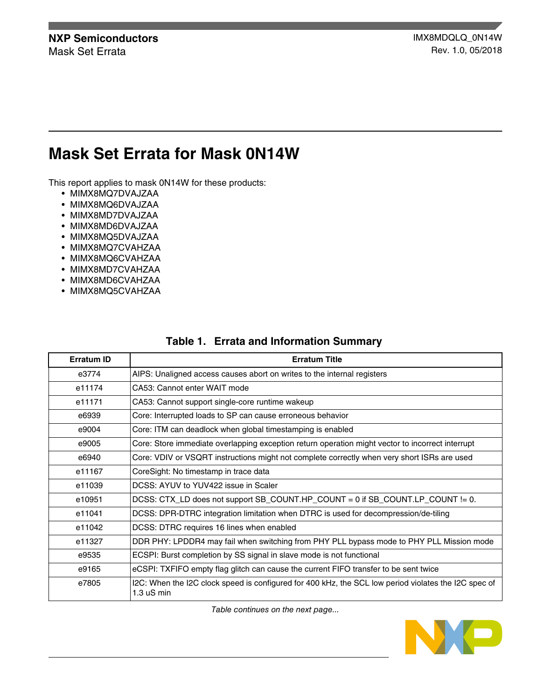# **Mask Set Errata for Mask 0N14W**

This report applies to mask 0N14W for these products:

- MIMX8MQ7DVAJZAA
- MIMX8MQ6DVAJZAA
- MIMX8MD7DVAJZAA
- MIMX8MD6DVAJZAA
- MIMX8MQ5DVAJZAA
- MIMX8MQ7CVAHZAA
- MIMX8MQ6CVAHZAA
- MIMX8MD7CVAHZAA
- MIMX8MD6CVAHZAA
- MIMX8MQ5CVAHZAA

| Erratum ID | <b>Erratum Title</b>                                                                                               |  |
|------------|--------------------------------------------------------------------------------------------------------------------|--|
| e3774      | AIPS: Unaligned access causes abort on writes to the internal registers                                            |  |
| e11174     | CA53: Cannot enter WAIT mode                                                                                       |  |
| e11171     | CA53: Cannot support single-core runtime wakeup                                                                    |  |
| e6939      | Core: Interrupted loads to SP can cause erroneous behavior                                                         |  |
| e9004      | Core: ITM can deadlock when global timestamping is enabled                                                         |  |
| e9005      | Core: Store immediate overlapping exception return operation might vector to incorrect interrupt                   |  |
| e6940      | Core: VDIV or VSQRT instructions might not complete correctly when very short ISRs are used                        |  |
| e11167     | CoreSight: No timestamp in trace data                                                                              |  |
| e11039     | DCSS: AYUV to YUV422 issue in Scaler                                                                               |  |
| e10951     | DCSS: CTX_LD does not support SB_COUNT.HP_COUNT = 0 if SB_COUNT.LP_COUNT != 0.                                     |  |
| e11041     | DCSS: DPR-DTRC integration limitation when DTRC is used for decompression/de-tiling                                |  |
| e11042     | DCSS: DTRC requires 16 lines when enabled                                                                          |  |
| e11327     | DDR PHY: LPDDR4 may fail when switching from PHY PLL bypass mode to PHY PLL Mission mode                           |  |
| e9535      | ECSPI: Burst completion by SS signal in slave mode is not functional                                               |  |
| e9165      | eCSPI: TXFIFO empty flag glitch can cause the current FIFO transfer to be sent twice                               |  |
| e7805      | I2C: When the I2C clock speed is configured for 400 kHz, the SCL low period violates the I2C spec of<br>1.3 uS min |  |

# **Table 1. Errata and Information Summary**

*Table continues on the next page...*

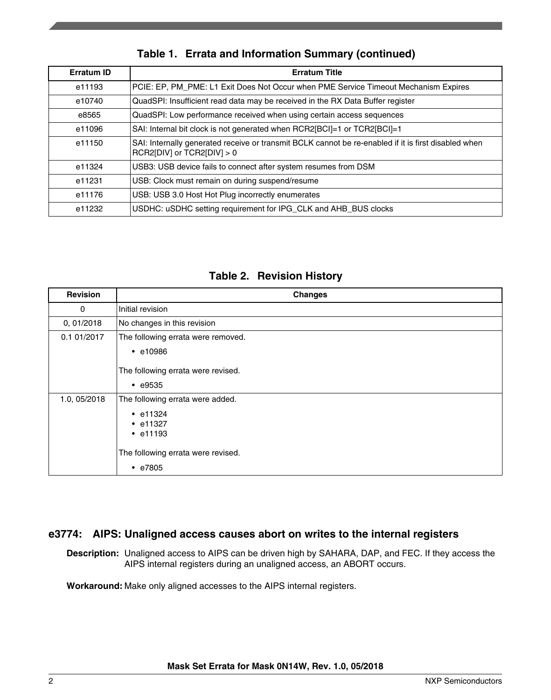| <b>Erratum ID</b> | <b>Erratum Title</b>                                                                                                                       |
|-------------------|--------------------------------------------------------------------------------------------------------------------------------------------|
| e11193            | PCIE: EP, PM PME: L1 Exit Does Not Occur when PME Service Timeout Mechanism Expires                                                        |
| e10740            | QuadSPI: Insufficient read data may be received in the RX Data Buffer register                                                             |
| e8565             | QuadSPI: Low performance received when using certain access sequences                                                                      |
| e11096            | SAI: Internal bit clock is not generated when RCR2[BCI]=1 or TCR2[BCI]=1                                                                   |
| e11150            | SAI: Internally generated receive or transmit BCLK cannot be re-enabled if it is first disabled when<br>$RCR2$ [DIV] or $TCR2$ [DIV] $> 0$ |
| e11324            | USB3: USB device fails to connect after system resumes from DSM                                                                            |
| e11231            | USB: Clock must remain on during suspend/resume                                                                                            |
| e11176            | USB: USB 3.0 Host Hot Plug incorrectly enumerates                                                                                          |
| e11232            | USDHC: uSDHC setting requirement for IPG_CLK and AHB_BUS clocks                                                                            |

**Table 1. Errata and Information Summary (continued)**

**Table 2. Revision History**

| <b>Revision</b> | <b>Changes</b>                                                                 |
|-----------------|--------------------------------------------------------------------------------|
| 0               | Initial revision                                                               |
| 0, 01/2018      | No changes in this revision                                                    |
| 0.1 01/2017     | The following errata were removed.<br>$\cdot$ e10986                           |
|                 | The following errata were revised.                                             |
|                 | $\cdot$ e9535                                                                  |
| 1.0, 05/2018    | The following errata were added.<br>$\cdot$ e11324<br>• $e11327$<br>• $e11193$ |
|                 | The following errata were revised.                                             |
|                 | $\cdot$ e7805                                                                  |

# **e3774: AIPS: Unaligned access causes abort on writes to the internal registers**

**Description:** Unaligned access to AIPS can be driven high by SAHARA, DAP, and FEC. If they access the AIPS internal registers during an unaligned access, an ABORT occurs.

**Workaround:** Make only aligned accesses to the AIPS internal registers.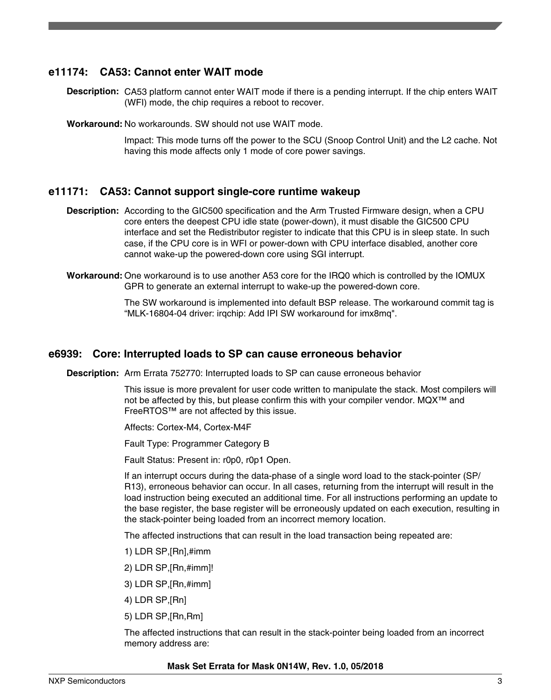# **e11174: CA53: Cannot enter WAIT mode**

**Description:** CA53 platform cannot enter WAIT mode if there is a pending interrupt. If the chip enters WAIT (WFI) mode, the chip requires a reboot to recover.

**Workaround:** No workarounds. SW should not use WAIT mode.

Impact: This mode turns off the power to the SCU (Snoop Control Unit) and the L2 cache. Not having this mode affects only 1 mode of core power savings.

### **e11171: CA53: Cannot support single-core runtime wakeup**

- **Description:** According to the GIC500 specification and the Arm Trusted Firmware design, when a CPU core enters the deepest CPU idle state (power-down), it must disable the GIC500 CPU interface and set the Redistributor register to indicate that this CPU is in sleep state. In such case, if the CPU core is in WFI or power-down with CPU interface disabled, another core cannot wake-up the powered-down core using SGI interrupt.
- **Workaround:** One workaround is to use another A53 core for the IRQ0 which is controlled by the IOMUX GPR to generate an external interrupt to wake-up the powered-down core.

The SW workaround is implemented into default BSP release. The workaround commit tag is "MLK-16804-04 driver: irqchip: Add IPI SW workaround for imx8mq".

### **e6939: Core: Interrupted loads to SP can cause erroneous behavior**

**Description:** Arm Errata 752770: Interrupted loads to SP can cause erroneous behavior

This issue is more prevalent for user code written to manipulate the stack. Most compilers will not be affected by this, but please confirm this with your compiler vendor. MQX™ and FreeRTOS™ are not affected by this issue.

Affects: Cortex-M4, Cortex-M4F

Fault Type: Programmer Category B

Fault Status: Present in: r0p0, r0p1 Open.

If an interrupt occurs during the data-phase of a single word load to the stack-pointer (SP/ R13), erroneous behavior can occur. In all cases, returning from the interrupt will result in the load instruction being executed an additional time. For all instructions performing an update to the base register, the base register will be erroneously updated on each execution, resulting in the stack-pointer being loaded from an incorrect memory location.

The affected instructions that can result in the load transaction being repeated are:

- 1) LDR SP,[Rn],#imm
- 2) LDR SP,[Rn,#imm]!
- 3) LDR SP,[Rn,#imm]
- 4) LDR SP,[Rn]
- 5) LDR SP,[Rn,Rm]

The affected instructions that can result in the stack-pointer being loaded from an incorrect memory address are: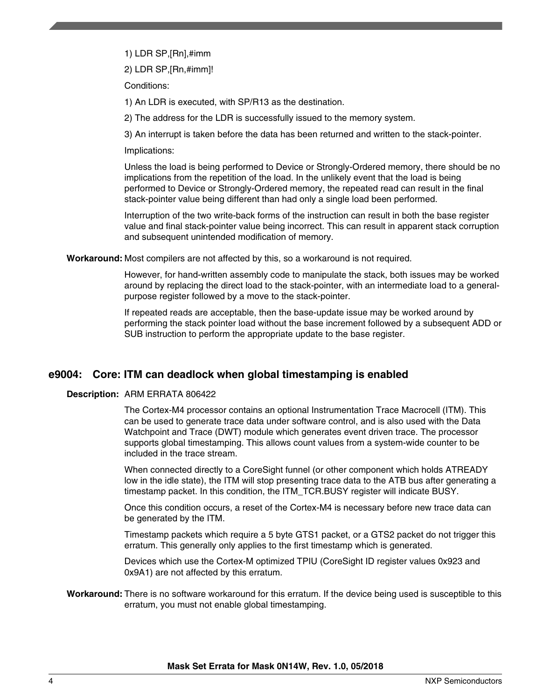1) LDR SP,[Rn],#imm

2) LDR SP,[Rn,#imm]!

Conditions:

1) An LDR is executed, with SP/R13 as the destination.

2) The address for the LDR is successfully issued to the memory system.

3) An interrupt is taken before the data has been returned and written to the stack-pointer.

Implications:

Unless the load is being performed to Device or Strongly-Ordered memory, there should be no implications from the repetition of the load. In the unlikely event that the load is being performed to Device or Strongly-Ordered memory, the repeated read can result in the final stack-pointer value being different than had only a single load been performed.

Interruption of the two write-back forms of the instruction can result in both the base register value and final stack-pointer value being incorrect. This can result in apparent stack corruption and subsequent unintended modification of memory.

**Workaround:** Most compilers are not affected by this, so a workaround is not required.

However, for hand-written assembly code to manipulate the stack, both issues may be worked around by replacing the direct load to the stack-pointer, with an intermediate load to a generalpurpose register followed by a move to the stack-pointer.

If repeated reads are acceptable, then the base-update issue may be worked around by performing the stack pointer load without the base increment followed by a subsequent ADD or SUB instruction to perform the appropriate update to the base register.

# **e9004: Core: ITM can deadlock when global timestamping is enabled**

### **Description:** ARM ERRATA 806422

The Cortex-M4 processor contains an optional Instrumentation Trace Macrocell (ITM). This can be used to generate trace data under software control, and is also used with the Data Watchpoint and Trace (DWT) module which generates event driven trace. The processor supports global timestamping. This allows count values from a system-wide counter to be included in the trace stream.

When connected directly to a CoreSight funnel (or other component which holds ATREADY low in the idle state), the ITM will stop presenting trace data to the ATB bus after generating a timestamp packet. In this condition, the ITM\_TCR.BUSY register will indicate BUSY.

Once this condition occurs, a reset of the Cortex-M4 is necessary before new trace data can be generated by the ITM.

Timestamp packets which require a 5 byte GTS1 packet, or a GTS2 packet do not trigger this erratum. This generally only applies to the first timestamp which is generated.

Devices which use the Cortex-M optimized TPIU (CoreSight ID register values 0x923 and 0x9A1) are not affected by this erratum.

**Workaround:** There is no software workaround for this erratum. If the device being used is susceptible to this erratum, you must not enable global timestamping.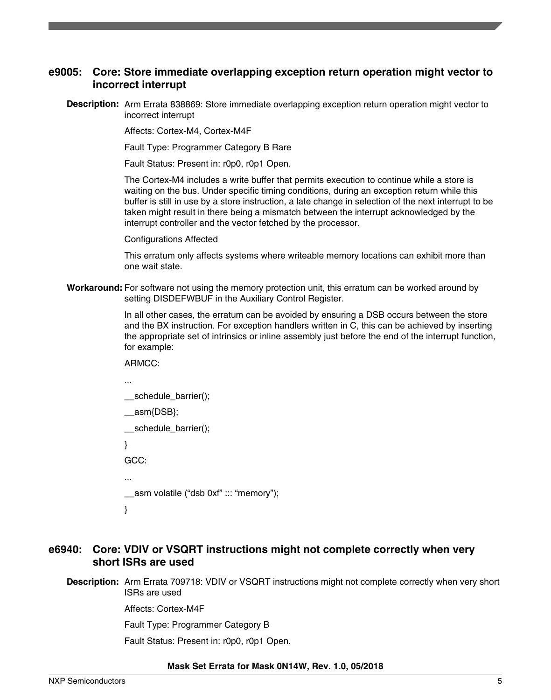# **e9005: Core: Store immediate overlapping exception return operation might vector to incorrect interrupt**

**Description:** Arm Errata 838869: Store immediate overlapping exception return operation might vector to incorrect interrupt

Affects: Cortex-M4, Cortex-M4F

Fault Type: Programmer Category B Rare

Fault Status: Present in: r0p0, r0p1 Open.

The Cortex-M4 includes a write buffer that permits execution to continue while a store is waiting on the bus. Under specific timing conditions, during an exception return while this buffer is still in use by a store instruction, a late change in selection of the next interrupt to be taken might result in there being a mismatch between the interrupt acknowledged by the interrupt controller and the vector fetched by the processor.

Configurations Affected

This erratum only affects systems where writeable memory locations can exhibit more than one wait state.

**Workaround:** For software not using the memory protection unit, this erratum can be worked around by setting DISDEFWBUF in the Auxiliary Control Register.

> In all other cases, the erratum can be avoided by ensuring a DSB occurs between the store and the BX instruction. For exception handlers written in C, this can be achieved by inserting the appropriate set of intrinsics or inline assembly just before the end of the interrupt function, for example:

```
ARMCC:
...
schedule_barrier();
\_asm\{DSB\};__schedule_barrier();
}
GCC:
...
 __asm volatile ("dsb 0xf" ::: "memory");
}
```
### **e6940: Core: VDIV or VSQRT instructions might not complete correctly when very short ISRs are used**

**Description:** Arm Errata 709718: VDIV or VSQRT instructions might not complete correctly when very short ISRs are used

Affects: Cortex-M4F

Fault Type: Programmer Category B

Fault Status: Present in: r0p0, r0p1 Open.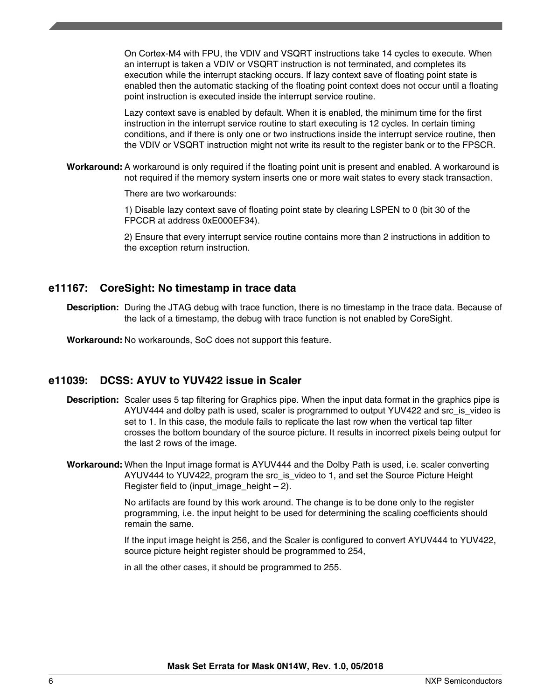On Cortex-M4 with FPU, the VDIV and VSQRT instructions take 14 cycles to execute. When an interrupt is taken a VDIV or VSQRT instruction is not terminated, and completes its execution while the interrupt stacking occurs. If lazy context save of floating point state is enabled then the automatic stacking of the floating point context does not occur until a floating point instruction is executed inside the interrupt service routine.

Lazy context save is enabled by default. When it is enabled, the minimum time for the first instruction in the interrupt service routine to start executing is 12 cycles. In certain timing conditions, and if there is only one or two instructions inside the interrupt service routine, then the VDIV or VSQRT instruction might not write its result to the register bank or to the FPSCR.

**Workaround:** A workaround is only required if the floating point unit is present and enabled. A workaround is not required if the memory system inserts one or more wait states to every stack transaction.

There are two workarounds:

1) Disable lazy context save of floating point state by clearing LSPEN to 0 (bit 30 of the FPCCR at address 0xE000EF34).

2) Ensure that every interrupt service routine contains more than 2 instructions in addition to the exception return instruction.

# **e11167: CoreSight: No timestamp in trace data**

**Description:** During the JTAG debug with trace function, there is no timestamp in the trace data. Because of the lack of a timestamp, the debug with trace function is not enabled by CoreSight.

**Workaround:** No workarounds, SoC does not support this feature.

### **e11039: DCSS: AYUV to YUV422 issue in Scaler**

- **Description:** Scaler uses 5 tap filtering for Graphics pipe. When the input data format in the graphics pipe is AYUV444 and dolby path is used, scaler is programmed to output YUV422 and src is video is set to 1. In this case, the module fails to replicate the last row when the vertical tap filter crosses the bottom boundary of the source picture. It results in incorrect pixels being output for the last 2 rows of the image.
- **Workaround:** When the Input image format is AYUV444 and the Dolby Path is used, i.e. scaler converting AYUV444 to YUV422, program the src\_is\_video to 1, and set the Source Picture Height Register field to (input image height  $- 2$ ).

No artifacts are found by this work around. The change is to be done only to the register programming, i.e. the input height to be used for determining the scaling coefficients should remain the same.

If the input image height is 256, and the Scaler is configured to convert AYUV444 to YUV422, source picture height register should be programmed to 254,

in all the other cases, it should be programmed to 255.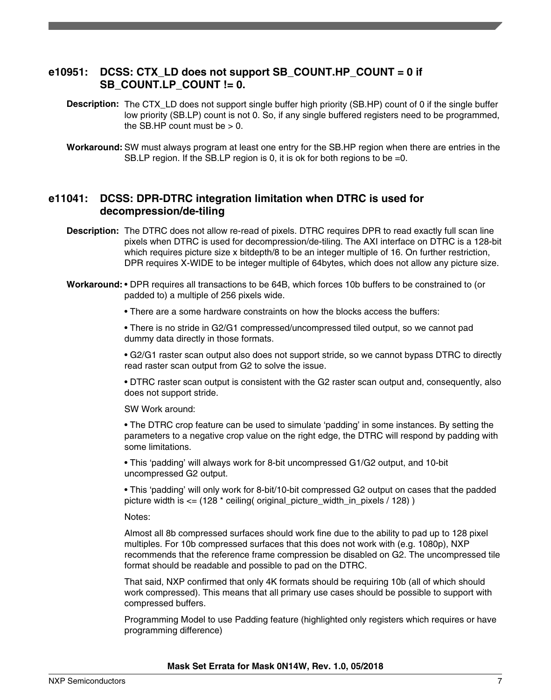# **e10951: DCSS: CTX\_LD does not support SB\_COUNT.HP\_COUNT = 0 if SB\_COUNT.LP\_COUNT != 0.**

**Description:** The CTX\_LD does not support single buffer high priority (SB.HP) count of 0 if the single buffer low priority (SB.LP) count is not 0. So, if any single buffered registers need to be programmed, the SB.HP count must be  $> 0$ .

**Workaround:** SW must always program at least one entry for the SB.HP region when there are entries in the SB.LP region. If the SB.LP region is 0, it is ok for both regions to be =0.

### **e11041: DCSS: DPR-DTRC integration limitation when DTRC is used for decompression/de-tiling**

- **Description:** The DTRC does not allow re-read of pixels. DTRC requires DPR to read exactly full scan line pixels when DTRC is used for decompression/de-tiling. The AXI interface on DTRC is a 128-bit which requires picture size x bitdepth/8 to be an integer multiple of 16. On further restriction, DPR requires X-WIDE to be integer multiple of 64bytes, which does not allow any picture size.
- **Workaround:** DPR requires all transactions to be 64B, which forces 10b buffers to be constrained to (or padded to) a multiple of 256 pixels wide.
	- There are a some hardware constraints on how the blocks access the buffers:

• There is no stride in G2/G1 compressed/uncompressed tiled output, so we cannot pad dummy data directly in those formats.

• G2/G1 raster scan output also does not support stride, so we cannot bypass DTRC to directly read raster scan output from G2 to solve the issue.

• DTRC raster scan output is consistent with the G2 raster scan output and, consequently, also does not support stride.

SW Work around:

• The DTRC crop feature can be used to simulate 'padding' in some instances. By setting the parameters to a negative crop value on the right edge, the DTRC will respond by padding with some limitations.

• This 'padding' will always work for 8-bit uncompressed G1/G2 output, and 10-bit uncompressed G2 output.

• This 'padding' will only work for 8-bit/10-bit compressed G2 output on cases that the padded picture width is  $\leq$  (128  $*$  ceiling( original picture width in pixels / 128) )

Notes:

Almost all 8b compressed surfaces should work fine due to the ability to pad up to 128 pixel multiples. For 10b compressed surfaces that this does not work with (e.g. 1080p), NXP recommends that the reference frame compression be disabled on G2. The uncompressed tile format should be readable and possible to pad on the DTRC.

That said, NXP confirmed that only 4K formats should be requiring 10b (all of which should work compressed). This means that all primary use cases should be possible to support with compressed buffers.

Programming Model to use Padding feature (highlighted only registers which requires or have programming difference)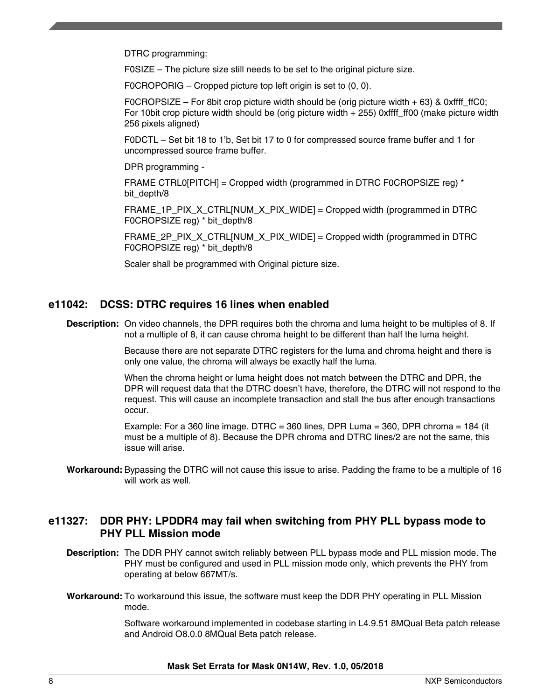DTRC programming:

F0SIZE – The picture size still needs to be set to the original picture size.

F0CROPORIG – Cropped picture top left origin is set to (0, 0).

FOCROPSIZE – For 8bit crop picture width should be (orig picture width  $+ 63$ ) & 0xffff\_ffC0; For 10bit crop picture width should be (orig picture width + 255) 0xffff\_ff00 (make picture width 256 pixels aligned)

F0DCTL – Set bit 18 to 1'b, Set bit 17 to 0 for compressed source frame buffer and 1 for uncompressed source frame buffer.

DPR programming -

FRAME CTRL0[PITCH] = Cropped width (programmed in DTRC F0CROPSIZE reg) \* bit\_depth/8

FRAME\_1P\_PIX\_X\_CTRL[NUM\_X\_PIX\_WIDE] = Cropped width (programmed in DTRC F0CROPSIZE reg) \* bit\_depth/8

FRAME\_2P\_PIX\_X\_CTRL[NUM\_X\_PIX\_WIDE] = Cropped width (programmed in DTRC F0CROPSIZE reg) \* bit\_depth/8

Scaler shall be programmed with Original picture size.

### **e11042: DCSS: DTRC requires 16 lines when enabled**

**Description:** On video channels, the DPR requires both the chroma and luma height to be multiples of 8. If not a multiple of 8, it can cause chroma height to be different than half the luma height.

> Because there are not separate DTRC registers for the luma and chroma height and there is only one value, the chroma will always be exactly half the luma.

When the chroma height or luma height does not match between the DTRC and DPR, the DPR will request data that the DTRC doesn't have, therefore, the DTRC will not respond to the request. This will cause an incomplete transaction and stall the bus after enough transactions occur.

Example: For a 360 line image. DTRC = 360 lines, DPR Luma = 360, DPR chroma =  $184$  (it must be a multiple of 8). Because the DPR chroma and DTRC lines/2 are not the same, this issue will arise.

**Workaround:** Bypassing the DTRC will not cause this issue to arise. Padding the frame to be a multiple of 16 will work as well.

### **e11327: DDR PHY: LPDDR4 may fail when switching from PHY PLL bypass mode to PHY PLL Mission mode**

- **Description:** The DDR PHY cannot switch reliably between PLL bypass mode and PLL mission mode. The PHY must be configured and used in PLL mission mode only, which prevents the PHY from operating at below 667MT/s.
- **Workaround:** To workaround this issue, the software must keep the DDR PHY operating in PLL Mission mode.

Software workaround implemented in codebase starting in L4.9.51 8MQual Beta patch release and Android O8.0.0 8MQual Beta patch release.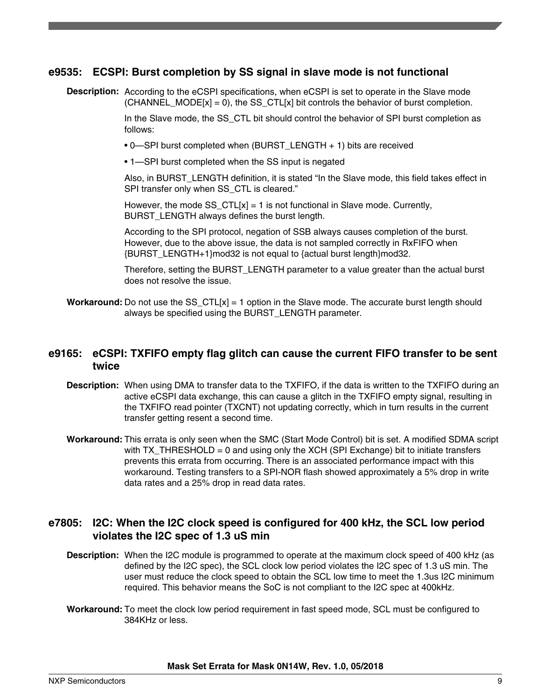### **e9535: ECSPI: Burst completion by SS signal in slave mode is not functional**

**Description:** According to the eCSPI specifications, when eCSPI is set to operate in the Slave mode (CHANNEL MODE[x] = 0), the SS CTL[x] bit controls the behavior of burst completion.

> In the Slave mode, the SS CTL bit should control the behavior of SPI burst completion as follows:

- 0—SPI burst completed when (BURST\_LENGTH + 1) bits are received
- 1—SPI burst completed when the SS input is negated

Also, in BURST\_LENGTH definition, it is stated "In the Slave mode, this field takes effect in SPI transfer only when SS CTL is cleared."

However, the mode SS  $CTL[x] = 1$  is not functional in Slave mode. Currently, BURST\_LENGTH always defines the burst length.

According to the SPI protocol, negation of SSB always causes completion of the burst. However, due to the above issue, the data is not sampled correctly in RxFIFO when {BURST\_LENGTH+1}mod32 is not equal to {actual burst length}mod32.

Therefore, setting the BURST\_LENGTH parameter to a value greater than the actual burst does not resolve the issue.

**Workaround:** Do not use the SS CTL[x] = 1 option in the Slave mode. The accurate burst length should always be specified using the BURST\_LENGTH parameter.

### **e9165: eCSPI: TXFIFO empty flag glitch can cause the current FIFO transfer to be sent twice**

- **Description:** When using DMA to transfer data to the TXFIFO, if the data is written to the TXFIFO during an active eCSPI data exchange, this can cause a glitch in the TXFIFO empty signal, resulting in the TXFIFO read pointer (TXCNT) not updating correctly, which in turn results in the current transfer getting resent a second time.
- **Workaround:** This errata is only seen when the SMC (Start Mode Control) bit is set. A modified SDMA script with TX THRESHOLD = 0 and using only the XCH (SPI Exchange) bit to initiate transfers prevents this errata from occurring. There is an associated performance impact with this workaround. Testing transfers to a SPI-NOR flash showed approximately a 5% drop in write data rates and a 25% drop in read data rates.

### **e7805: I2C: When the I2C clock speed is configured for 400 kHz, the SCL low period violates the I2C spec of 1.3 uS min**

- **Description:** When the I2C module is programmed to operate at the maximum clock speed of 400 kHz (as defined by the I2C spec), the SCL clock low period violates the I2C spec of 1.3 uS min. The user must reduce the clock speed to obtain the SCL low time to meet the 1.3us I2C minimum required. This behavior means the SoC is not compliant to the I2C spec at 400kHz.
- **Workaround:** To meet the clock low period requirement in fast speed mode, SCL must be configured to 384KHz or less.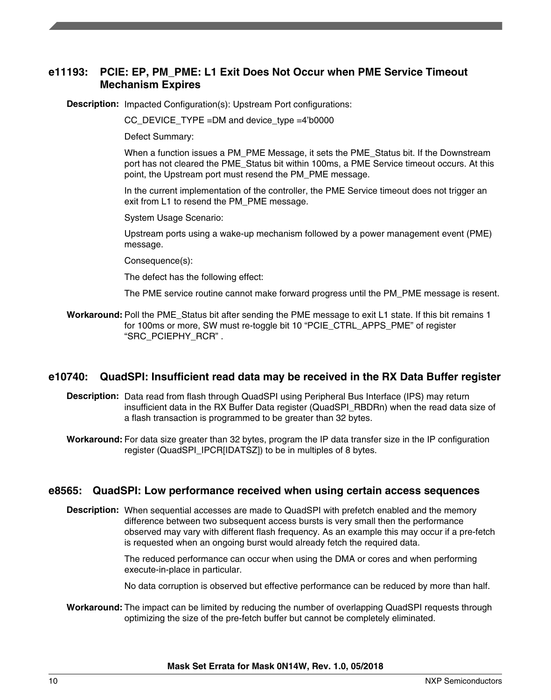# **e11193: PCIE: EP, PM\_PME: L1 Exit Does Not Occur when PME Service Timeout Mechanism Expires**

**Description:** Impacted Configuration(s): Upstream Port configurations:

CC DEVICE TYPE = DM and device type  $=4'$ b0000

Defect Summary:

When a function issues a PM\_PME Message, it sets the PME\_Status bit. If the Downstream port has not cleared the PME\_Status bit within 100ms, a PME Service timeout occurs. At this point, the Upstream port must resend the PM\_PME message.

In the current implementation of the controller, the PME Service timeout does not trigger an exit from L1 to resend the PM\_PME message.

System Usage Scenario:

Upstream ports using a wake-up mechanism followed by a power management event (PME) message.

Consequence(s):

The defect has the following effect:

The PME service routine cannot make forward progress until the PM\_PME message is resent.

**Workaround:** Poll the PME\_Status bit after sending the PME message to exit L1 state. If this bit remains 1 for 100ms or more, SW must re-toggle bit 10 "PCIE\_CTRL\_APPS\_PME" of register "SRC\_PCIEPHY\_RCR" .

### **e10740: QuadSPI: Insufficient read data may be received in the RX Data Buffer register**

- **Description:** Data read from flash through QuadSPI using Peripheral Bus Interface (IPS) may return insufficient data in the RX Buffer Data register (QuadSPI\_RBDRn) when the read data size of a flash transaction is programmed to be greater than 32 bytes.
- **Workaround:** For data size greater than 32 bytes, program the IP data transfer size in the IP configuration register (QuadSPI\_IPCR[IDATSZ]) to be in multiples of 8 bytes.

### **e8565: QuadSPI: Low performance received when using certain access sequences**

**Description:** When sequential accesses are made to QuadSPI with prefetch enabled and the memory difference between two subsequent access bursts is very small then the performance observed may vary with different flash frequency. As an example this may occur if a pre-fetch is requested when an ongoing burst would already fetch the required data.

> The reduced performance can occur when using the DMA or cores and when performing execute-in-place in particular.

No data corruption is observed but effective performance can be reduced by more than half.

**Workaround:** The impact can be limited by reducing the number of overlapping QuadSPI requests through optimizing the size of the pre-fetch buffer but cannot be completely eliminated.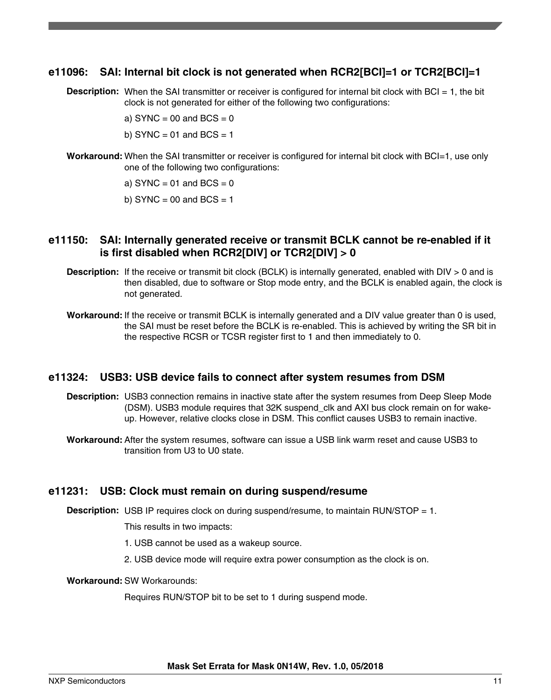# **e11096: SAI: Internal bit clock is not generated when RCR2[BCI]=1 or TCR2[BCI]=1**

**Description:** When the SAI transmitter or receiver is configured for internal bit clock with BCI = 1, the bit clock is not generated for either of the following two configurations:

a) SYNC = 00 and BCS =  $0$ 

b)  $SYNC = 01$  and  $BCS = 1$ 

**Workaround:** When the SAI transmitter or receiver is configured for internal bit clock with BCI=1, use only one of the following two configurations:

a)  $SYNC = 01$  and  $BCS = 0$ 

b) SYNC = 00 and BCS =  $1$ 

# **e11150: SAI: Internally generated receive or transmit BCLK cannot be re-enabled if it is first disabled when RCR2[DIV] or TCR2[DIV] > 0**

- **Description:** If the receive or transmit bit clock (BCLK) is internally generated, enabled with DIV > 0 and is then disabled, due to software or Stop mode entry, and the BCLK is enabled again, the clock is not generated.
- **Workaround:** If the receive or transmit BCLK is internally generated and a DIV value greater than 0 is used, the SAI must be reset before the BCLK is re-enabled. This is achieved by writing the SR bit in the respective RCSR or TCSR register first to 1 and then immediately to 0.

### **e11324: USB3: USB device fails to connect after system resumes from DSM**

- **Description:** USB3 connection remains in inactive state after the system resumes from Deep Sleep Mode (DSM). USB3 module requires that 32K suspend\_clk and AXI bus clock remain on for wakeup. However, relative clocks close in DSM. This conflict causes USB3 to remain inactive.
- **Workaround:** After the system resumes, software can issue a USB link warm reset and cause USB3 to transition from U3 to U0 state.

# **e11231: USB: Clock must remain on during suspend/resume**

**Description:** USB IP requires clock on during suspend/resume, to maintain RUN/STOP = 1.

This results in two impacts:

- 1. USB cannot be used as a wakeup source.
- 2. USB device mode will require extra power consumption as the clock is on.

### **Workaround:** SW Workarounds:

Requires RUN/STOP bit to be set to 1 during suspend mode.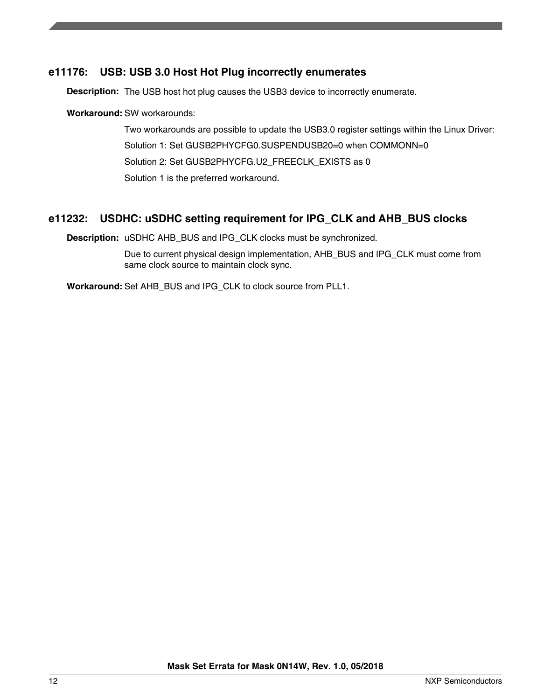### **e11176: USB: USB 3.0 Host Hot Plug incorrectly enumerates**

**Description:** The USB host hot plug causes the USB3 device to incorrectly enumerate.

**Workaround:** SW workarounds:

Two workarounds are possible to update the USB3.0 register settings within the Linux Driver: Solution 1: Set GUSB2PHYCFG0.SUSPENDUSB20=0 when COMMONN=0 Solution 2: Set GUSB2PHYCFG.U2\_FREECLK\_EXISTS as 0 Solution 1 is the preferred workaround.

### **e11232: USDHC: uSDHC setting requirement for IPG\_CLK and AHB\_BUS clocks**

**Description:** uSDHC AHB\_BUS and IPG\_CLK clocks must be synchronized.

Due to current physical design implementation, AHB\_BUS and IPG\_CLK must come from same clock source to maintain clock sync.

**Workaround:** Set AHB\_BUS and IPG\_CLK to clock source from PLL1.